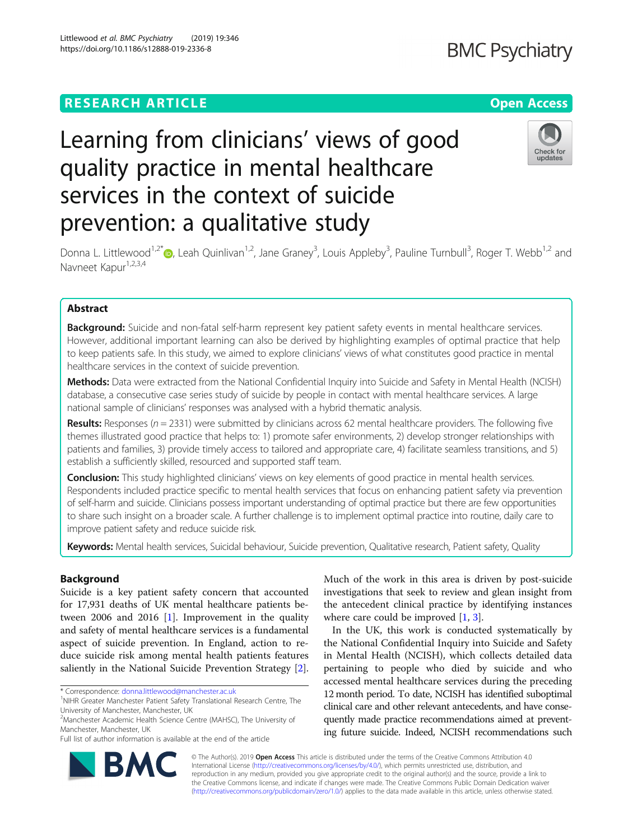Littlewood et al. BMC Psychiatry (2019) 19:346 https://doi.org/10.1186/s12888-019-2336-8

# Learning from clinicians' views of good quality practice in mental healthcare services in the context of suicide prevention: a qualitative study



Donna L. Littlewood<sup>1[,](http://orcid.org/0000-0003-4806-4540)2\*</sup> (**b**, Leah Quinlivan<sup>1,2</sup>, Jane Graney<sup>3</sup>, Louis Appleby<sup>3</sup>, Pauline Turnbull<sup>3</sup>, Roger T. Webb<sup>1,2</sup> and Navneet Kapur<sup>1,2,3,4</sup>

# Abstract

Background: Suicide and non-fatal self-harm represent key patient safety events in mental healthcare services. However, additional important learning can also be derived by highlighting examples of optimal practice that help to keep patients safe. In this study, we aimed to explore clinicians' views of what constitutes good practice in mental healthcare services in the context of suicide prevention.

Methods: Data were extracted from the National Confidential Inquiry into Suicide and Safety in Mental Health (NCISH) database, a consecutive case series study of suicide by people in contact with mental healthcare services. A large national sample of clinicians' responses was analysed with a hybrid thematic analysis.

Results: Responses ( $n = 2331$ ) were submitted by clinicians across 62 mental healthcare providers. The following five themes illustrated good practice that helps to: 1) promote safer environments, 2) develop stronger relationships with patients and families, 3) provide timely access to tailored and appropriate care, 4) facilitate seamless transitions, and 5) establish a sufficiently skilled, resourced and supported staff team.

Conclusion: This study highlighted clinicians' views on key elements of good practice in mental health services. Respondents included practice specific to mental health services that focus on enhancing patient safety via prevention of self-harm and suicide. Clinicians possess important understanding of optimal practice but there are few opportunities to share such insight on a broader scale. A further challenge is to implement optimal practice into routine, daily care to improve patient safety and reduce suicide risk.

Keywords: Mental health services, Suicidal behaviour, Suicide prevention, Qualitative research, Patient safety, Quality

# Background

Suicide is a key patient safety concern that accounted for 17,931 deaths of UK mental healthcare patients between 2006 and 2016 [\[1](#page-7-0)]. Improvement in the quality and safety of mental healthcare services is a fundamental aspect of suicide prevention. In England, action to reduce suicide risk among mental health patients features saliently in the National Suicide Prevention Strategy [\[2](#page-7-0)].

\* Correspondence: [donna.littlewood@manchester.ac.uk](mailto:donna.littlewood@manchester.ac.uk) <sup>1</sup>

<sup>2</sup>Manchester Academic Health Science Centre (MAHSC), The University of Manchester, Manchester, UK

Full list of author information is available at the end of the article

Much of the work in this area is driven by post-suicide investigations that seek to review and glean insight from the antecedent clinical practice by identifying instances where care could be improved [\[1,](#page-7-0) [3\]](#page-7-0).

In the UK, this work is conducted systematically by the National Confidential Inquiry into Suicide and Safety in Mental Health (NCISH), which collects detailed data pertaining to people who died by suicide and who accessed mental healthcare services during the preceding 12 month period. To date, NCISH has identified suboptimal clinical care and other relevant antecedents, and have consequently made practice recommendations aimed at preventing future suicide. Indeed, NCISH recommendations such



© The Author(s). 2019 **Open Access** This article is distributed under the terms of the Creative Commons Attribution 4.0 International License [\(http://creativecommons.org/licenses/by/4.0/](http://creativecommons.org/licenses/by/4.0/)), which permits unrestricted use, distribution, and reproduction in any medium, provided you give appropriate credit to the original author(s) and the source, provide a link to the Creative Commons license, and indicate if changes were made. The Creative Commons Public Domain Dedication waiver [\(http://creativecommons.org/publicdomain/zero/1.0/](http://creativecommons.org/publicdomain/zero/1.0/)) applies to the data made available in this article, unless otherwise stated.

<sup>&</sup>lt;sup>1</sup>NIHR Greater Manchester Patient Safety Translational Research Centre, The University of Manchester, Manchester, UK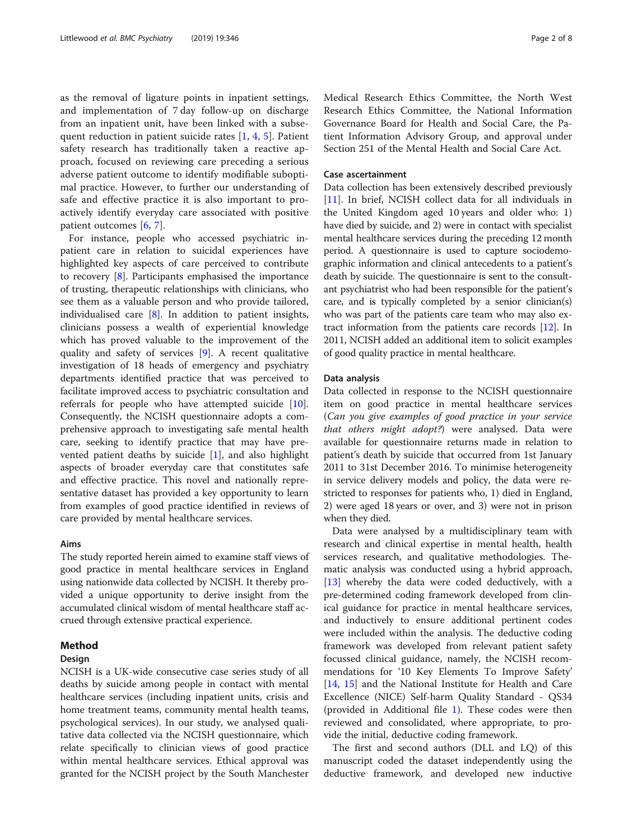as the removal of ligature points in inpatient settings, and implementation of 7 day follow-up on discharge from an inpatient unit, have been linked with a subsequent reduction in patient suicide rates [[1,](#page-7-0) [4,](#page-7-0) [5\]](#page-7-0). Patient safety research has traditionally taken a reactive approach, focused on reviewing care preceding a serious adverse patient outcome to identify modifiable suboptimal practice. However, to further our understanding of safe and effective practice it is also important to proactively identify everyday care associated with positive patient outcomes [[6,](#page-7-0) [7](#page-7-0)].

For instance, people who accessed psychiatric inpatient care in relation to suicidal experiences have highlighted key aspects of care perceived to contribute to recovery [\[8](#page-7-0)]. Participants emphasised the importance of trusting, therapeutic relationships with clinicians, who see them as a valuable person and who provide tailored, individualised care [[8\]](#page-7-0). In addition to patient insights, clinicians possess a wealth of experiential knowledge which has proved valuable to the improvement of the quality and safety of services [\[9](#page-7-0)]. A recent qualitative investigation of 18 heads of emergency and psychiatry departments identified practice that was perceived to facilitate improved access to psychiatric consultation and referrals for people who have attempted suicide [\[10](#page-7-0)]. Consequently, the NCISH questionnaire adopts a comprehensive approach to investigating safe mental health care, seeking to identify practice that may have prevented patient deaths by suicide [[1](#page-7-0)], and also highlight aspects of broader everyday care that constitutes safe and effective practice. This novel and nationally representative dataset has provided a key opportunity to learn from examples of good practice identified in reviews of care provided by mental healthcare services.

# Aims

The study reported herein aimed to examine staff views of good practice in mental healthcare services in England using nationwide data collected by NCISH. It thereby provided a unique opportunity to derive insight from the accumulated clinical wisdom of mental healthcare staff accrued through extensive practical experience.

# Method

# Design

NCISH is a UK-wide consecutive case series study of all deaths by suicide among people in contact with mental healthcare services (including inpatient units, crisis and home treatment teams, community mental health teams, psychological services). In our study, we analysed qualitative data collected via the NCISH questionnaire, which relate specifically to clinician views of good practice within mental healthcare services. Ethical approval was granted for the NCISH project by the South Manchester Medical Research Ethics Committee, the North West Research Ethics Committee, the National Information Governance Board for Health and Social Care, the Patient Information Advisory Group, and approval under Section 251 of the Mental Health and Social Care Act.

# Case ascertainment

Data collection has been extensively described previously [[11\]](#page-7-0). In brief, NCISH collect data for all individuals in the United Kingdom aged 10 years and older who: 1) have died by suicide, and 2) were in contact with specialist mental healthcare services during the preceding 12 month period. A questionnaire is used to capture sociodemographic information and clinical antecedents to a patient's death by suicide. The questionnaire is sent to the consultant psychiatrist who had been responsible for the patient's care, and is typically completed by a senior clinician(s) who was part of the patients care team who may also extract information from the patients care records [\[12\]](#page-7-0). In 2011, NCISH added an additional item to solicit examples of good quality practice in mental healthcare.

# Data analysis

Data collected in response to the NCISH questionnaire item on good practice in mental healthcare services (Can you give examples of good practice in your service that others might adopt?) were analysed. Data were available for questionnaire returns made in relation to patient's death by suicide that occurred from 1st January 2011 to 31st December 2016. To minimise heterogeneity in service delivery models and policy, the data were restricted to responses for patients who, 1) died in England, 2) were aged 18 years or over, and 3) were not in prison when they died.

Data were analysed by a multidisciplinary team with research and clinical expertise in mental health, health services research, and qualitative methodologies. Thematic analysis was conducted using a hybrid approach, [[13\]](#page-7-0) whereby the data were coded deductively, with a pre-determined coding framework developed from clinical guidance for practice in mental healthcare services, and inductively to ensure additional pertinent codes were included within the analysis. The deductive coding framework was developed from relevant patient safety focussed clinical guidance, namely, the NCISH recommendations for '10 Key Elements To Improve Safety' [[14,](#page-7-0) [15\]](#page-7-0) and the National Institute for Health and Care Excellence (NICE) Self-harm Quality Standard - QS34 (provided in Additional file [1](#page-6-0)). These codes were then reviewed and consolidated, where appropriate, to provide the initial, deductive coding framework.

The first and second authors (DLL and LQ) of this manuscript coded the dataset independently using the deductive framework, and developed new inductive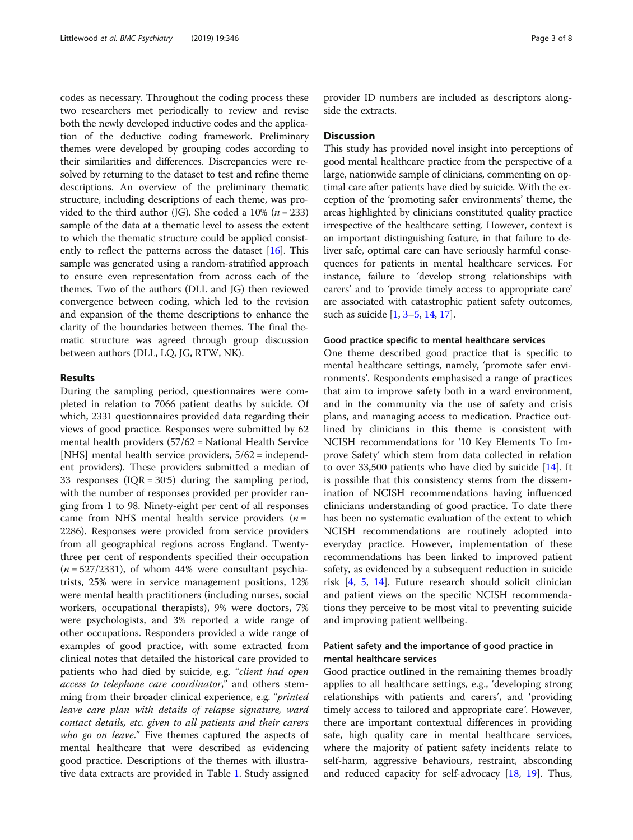codes as necessary. Throughout the coding process these two researchers met periodically to review and revise both the newly developed inductive codes and the application of the deductive coding framework. Preliminary themes were developed by grouping codes according to their similarities and differences. Discrepancies were resolved by returning to the dataset to test and refine theme descriptions. An overview of the preliminary thematic structure, including descriptions of each theme, was provided to the third author (JG). She coded a 10% ( $n = 233$ ) sample of the data at a thematic level to assess the extent to which the thematic structure could be applied consistently to reflect the patterns across the dataset  $[16]$  $[16]$ . This sample was generated using a random-stratified approach to ensure even representation from across each of the themes. Two of the authors (DLL and JG) then reviewed convergence between coding, which led to the revision and expansion of the theme descriptions to enhance the clarity of the boundaries between themes. The final thematic structure was agreed through group discussion between authors (DLL, LQ, JG, RTW, NK).

# Results

During the sampling period, questionnaires were completed in relation to 7066 patient deaths by suicide. Of which, 2331 questionnaires provided data regarding their views of good practice. Responses were submitted by 62 mental health providers (57/62 = National Health Service [NHS] mental health service providers,  $5/62$  = independent providers). These providers submitted a median of 33 responses  $( IQR = 305)$  during the sampling period, with the number of responses provided per provider ranging from 1 to 98. Ninety-eight per cent of all responses came from NHS mental health service providers  $(n =$ 2286). Responses were provided from service providers from all geographical regions across England. Twentythree per cent of respondents specified their occupation  $(n = 527/2331)$ , of whom 44% were consultant psychiatrists, 25% were in service management positions, 12% were mental health practitioners (including nurses, social workers, occupational therapists), 9% were doctors, 7% were psychologists, and 3% reported a wide range of other occupations. Responders provided a wide range of examples of good practice, with some extracted from clinical notes that detailed the historical care provided to patients who had died by suicide, e.g. "client had open access to telephone care coordinator," and others stemming from their broader clinical experience, e.g. "*printed* leave care plan with details of relapse signature, ward contact details, etc. given to all patients and their carers who go on leave." Five themes captured the aspects of mental healthcare that were described as evidencing good practice. Descriptions of the themes with illustrative data extracts are provided in Table [1](#page-3-0). Study assigned provider ID numbers are included as descriptors alongside the extracts.

# **Discussion**

This study has provided novel insight into perceptions of good mental healthcare practice from the perspective of a large, nationwide sample of clinicians, commenting on optimal care after patients have died by suicide. With the exception of the 'promoting safer environments' theme, the areas highlighted by clinicians constituted quality practice irrespective of the healthcare setting. However, context is an important distinguishing feature, in that failure to deliver safe, optimal care can have seriously harmful consequences for patients in mental healthcare services. For instance, failure to 'develop strong relationships with carers' and to 'provide timely access to appropriate care' are associated with catastrophic patient safety outcomes, such as suicide [[1,](#page-7-0) [3](#page-7-0)–[5,](#page-7-0) [14](#page-7-0), [17](#page-7-0)].

## Good practice specific to mental healthcare services

One theme described good practice that is specific to mental healthcare settings, namely, 'promote safer environments'. Respondents emphasised a range of practices that aim to improve safety both in a ward environment, and in the community via the use of safety and crisis plans, and managing access to medication. Practice outlined by clinicians in this theme is consistent with NCISH recommendations for '10 Key Elements To Improve Safety' which stem from data collected in relation to over 33,500 patients who have died by suicide [[14\]](#page-7-0). It is possible that this consistency stems from the dissemination of NCISH recommendations having influenced clinicians understanding of good practice. To date there has been no systematic evaluation of the extent to which NCISH recommendations are routinely adopted into everyday practice. However, implementation of these recommendations has been linked to improved patient safety, as evidenced by a subsequent reduction in suicide risk [[4,](#page-7-0) [5,](#page-7-0) [14\]](#page-7-0). Future research should solicit clinician and patient views on the specific NCISH recommendations they perceive to be most vital to preventing suicide and improving patient wellbeing.

# Patient safety and the importance of good practice in mental healthcare services

Good practice outlined in the remaining themes broadly applies to all healthcare settings, e.g., 'developing strong relationships with patients and carers', and 'providing timely access to tailored and appropriate care'. However, there are important contextual differences in providing safe, high quality care in mental healthcare services, where the majority of patient safety incidents relate to self-harm, aggressive behaviours, restraint, absconding and reduced capacity for self-advocacy [[18](#page-7-0), [19](#page-7-0)]. Thus,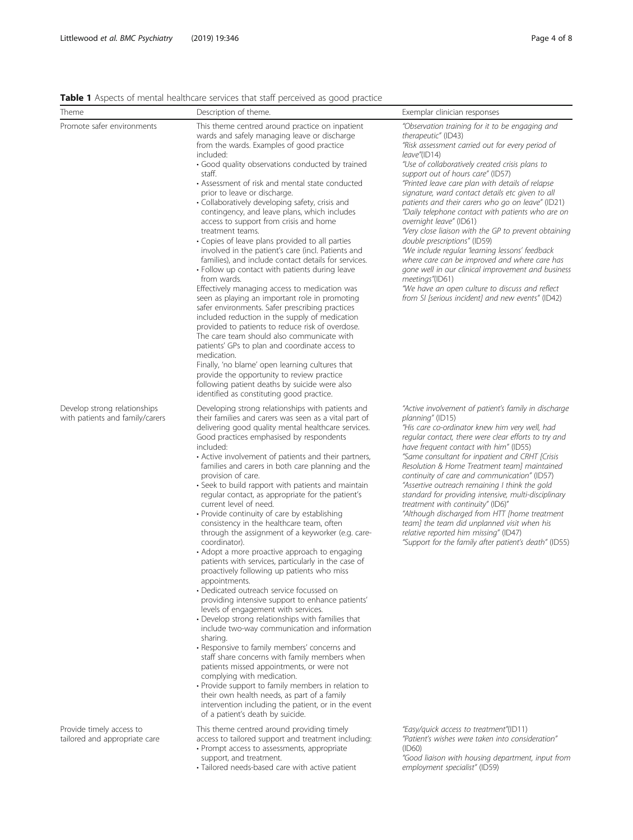<span id="page-3-0"></span>Table 1 Aspects of mental healthcare services that staff perceived as good practice

| Theme                                                           | Description of theme.                                                                                                                                                                                                                                                                                                                                                                                                                                                                                                                                                                                                                                                                                                                                                                                                                                                                                                                                                                                                                                                                                                                                                                                                                                                                                                                                                                                                                                                             | Exemplar clinician responses                                                                                                                                                                                                                                                                                                                                                                                                                                                                                                                                                                                                                                                                                                                                                                                                                                 |
|-----------------------------------------------------------------|-----------------------------------------------------------------------------------------------------------------------------------------------------------------------------------------------------------------------------------------------------------------------------------------------------------------------------------------------------------------------------------------------------------------------------------------------------------------------------------------------------------------------------------------------------------------------------------------------------------------------------------------------------------------------------------------------------------------------------------------------------------------------------------------------------------------------------------------------------------------------------------------------------------------------------------------------------------------------------------------------------------------------------------------------------------------------------------------------------------------------------------------------------------------------------------------------------------------------------------------------------------------------------------------------------------------------------------------------------------------------------------------------------------------------------------------------------------------------------------|--------------------------------------------------------------------------------------------------------------------------------------------------------------------------------------------------------------------------------------------------------------------------------------------------------------------------------------------------------------------------------------------------------------------------------------------------------------------------------------------------------------------------------------------------------------------------------------------------------------------------------------------------------------------------------------------------------------------------------------------------------------------------------------------------------------------------------------------------------------|
| Promote safer environments                                      | This theme centred around practice on inpatient<br>wards and safely managing leave or discharge<br>from the wards. Examples of good practice<br>included:<br>· Good quality observations conducted by trained<br>staff.<br>• Assessment of risk and mental state conducted<br>prior to leave or discharge.<br>• Collaboratively developing safety, crisis and<br>contingency, and leave plans, which includes<br>access to support from crisis and home<br>treatment teams.<br>• Copies of leave plans provided to all parties<br>involved in the patient's care (incl. Patients and<br>families), and include contact details for services.<br>• Follow up contact with patients during leave<br>from wards.<br>Effectively managing access to medication was<br>seen as playing an important role in promoting<br>safer environments. Safer prescribing practices<br>included reduction in the supply of medication<br>provided to patients to reduce risk of overdose.<br>The care team should also communicate with<br>patients' GPs to plan and coordinate access to<br>medication.<br>Finally, 'no blame' open learning cultures that<br>provide the opportunity to review practice<br>following patient deaths by suicide were also<br>identified as constituting good practice.                                                                                                                                                                                           | "Observation training for it to be engaging and<br>therapeutic" (ID43)<br>"Risk assessment carried out for every period of<br>leave"(ID14)<br>"Use of collaboratively created crisis plans to<br>support out of hours care" (ID57)<br>"Printed leave care plan with details of relapse<br>signature, ward contact details etc given to all<br>patients and their carers who go on leave" (ID21)<br>"Daily telephone contact with patients who are on<br>overnight leave" (ID61)<br>"Very close liaison with the GP to prevent obtaining<br>double prescriptions" (ID59)<br>"We include regular 'learning lessons' feedback<br>where care can be improved and where care has<br>gone well in our clinical improvement and business<br>meetings"(ID61)<br>"We have an open culture to discuss and reflect<br>from SI [serious incident] and new events" (ID42) |
| Develop strong relationships<br>with patients and family/carers | Developing strong relationships with patients and<br>their families and carers was seen as a vital part of<br>delivering good quality mental healthcare services.<br>Good practices emphasised by respondents<br>included:<br>• Active involvement of patients and their partners,<br>families and carers in both care planning and the<br>provision of care.<br>• Seek to build rapport with patients and maintain<br>regular contact, as appropriate for the patient's<br>current level of need.<br>• Provide continuity of care by establishing<br>consistency in the healthcare team, often<br>through the assignment of a keyworker (e.g. care-<br>coordinator).<br>• Adopt a more proactive approach to engaging<br>patients with services, particularly in the case of<br>proactively following up patients who miss<br>appointments.<br>• Dedicated outreach service focussed on<br>providing intensive support to enhance patients'<br>levels of engagement with services.<br>• Develop strong relationships with families that<br>include two-way communication and information<br>sharing.<br>• Responsive to family members' concerns and<br>staff share concerns with family members when<br>patients missed appointments, or were not<br>complying with medication.<br>• Provide support to family members in relation to<br>their own health needs, as part of a family<br>intervention including the patient, or in the event<br>of a patient's death by suicide. | "Active involvement of patient's family in discharge<br>planning" (ID15)<br>"His care co-ordinator knew him very well, had<br>regular contact, there were clear efforts to try and<br>have frequent contact with him" (ID55)<br>"Same consultant for inpatient and CRHT [Crisis<br>Resolution & Home Treatment team] maintained<br>continuity of care and communication" (ID57)<br>"Assertive outreach remaining I think the gold<br>standard for providing intensive, multi-disciplinary<br>treatment with continuity" (ID6)"<br>"Although discharged from HTT [home treatment<br>team] the team did unplanned visit when his<br>relative reported him missing" (ID47)<br>"Support for the family after patient's death" (ID55)                                                                                                                             |
| Provide timely access to<br>tailored and appropriate care       | This theme centred around providing timely<br>access to tailored support and treatment including:<br>• Prompt access to assessments, appropriate<br>support, and treatment.<br>· Tailored needs-based care with active patient                                                                                                                                                                                                                                                                                                                                                                                                                                                                                                                                                                                                                                                                                                                                                                                                                                                                                                                                                                                                                                                                                                                                                                                                                                                    | "Easy/quick access to treatment"(ID11)<br>"Patient's wishes were taken into consideration"<br>(ID60)<br>"Good liaison with housing department, input from<br>employment specialist" (ID59)                                                                                                                                                                                                                                                                                                                                                                                                                                                                                                                                                                                                                                                                   |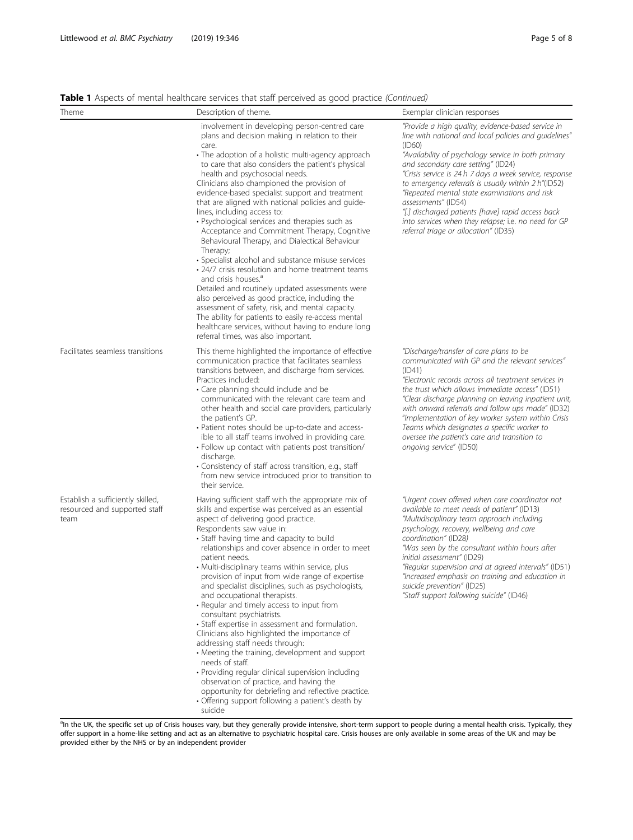Table 1 Aspects of mental healthcare services that staff perceived as good practice (Continued)

| Theme                                                                      | Description of theme.                                                                                                                                                                                                                                                                                                                                                                                                                                                                                                                                                                                                                                                                                                                                                                                                                                                                                                                                                                                                                                                    | Exemplar clinician responses                                                                                                                                                                                                                                                                                                                                                                                                                                                                                                                                      |
|----------------------------------------------------------------------------|--------------------------------------------------------------------------------------------------------------------------------------------------------------------------------------------------------------------------------------------------------------------------------------------------------------------------------------------------------------------------------------------------------------------------------------------------------------------------------------------------------------------------------------------------------------------------------------------------------------------------------------------------------------------------------------------------------------------------------------------------------------------------------------------------------------------------------------------------------------------------------------------------------------------------------------------------------------------------------------------------------------------------------------------------------------------------|-------------------------------------------------------------------------------------------------------------------------------------------------------------------------------------------------------------------------------------------------------------------------------------------------------------------------------------------------------------------------------------------------------------------------------------------------------------------------------------------------------------------------------------------------------------------|
|                                                                            | involvement in developing person-centred care<br>plans and decision making in relation to their<br>care.<br>• The adoption of a holistic multi-agency approach<br>to care that also considers the patient's physical<br>health and psychosocial needs.<br>Clinicians also championed the provision of<br>evidence-based specialist support and treatment<br>that are aligned with national policies and guide-<br>lines, including access to:<br>· Psychological services and therapies such as<br>Acceptance and Commitment Therapy, Cognitive<br>Behavioural Therapy, and Dialectical Behaviour<br>Therapy;<br>• Specialist alcohol and substance misuse services<br>• 24/7 crisis resolution and home treatment teams<br>and crisis houses. <sup>4</sup><br>Detailed and routinely updated assessments were<br>also perceived as good practice, including the<br>assessment of safety, risk, and mental capacity.<br>The ability for patients to easily re-access mental<br>healthcare services, without having to endure long<br>referral times, was also important. | "Provide a high quality, evidence-based service in<br>line with national and local policies and quidelines"<br>(ID60)<br>"Availability of psychology service in both primary<br>and secondary care setting" (ID24)<br>"Crisis service is 24 h 7 days a week service, response<br>to emergency referrals is usually within 2 h"(ID52)<br>"Repeated mental state examinations and risk<br>assessments" (ID54)<br>"[.] discharged patients [have] rapid access back<br>into services when they relapse; i.e. no need for GP<br>referral triage or allocation" (ID35) |
| Facilitates seamless transitions                                           | This theme highlighted the importance of effective<br>communication practice that facilitates seamless<br>transitions between, and discharge from services.<br>Practices included:<br>• Care planning should include and be<br>communicated with the relevant care team and<br>other health and social care providers, particularly<br>the patient's GP.<br>• Patient notes should be up-to-date and access-<br>ible to all staff teams involved in providing care.<br>• Follow up contact with patients post transition/<br>discharge.<br>• Consistency of staff across transition, e.g., staff<br>from new service introduced prior to transition to<br>their service.                                                                                                                                                                                                                                                                                                                                                                                                 | "Discharge/transfer of care plans to be<br>communicated with GP and the relevant services"<br>(ID41)<br>"Electronic records across all treatment services in<br>the trust which allows immediate access" (ID51)<br>"Clear discharge planning on leaving inpatient unit,<br>with onward referrals and follow ups made" (ID32)<br>"Implementation of key worker system within Crisis<br>Teams which designates a specific worker to<br>oversee the patient's care and transition to<br>ongoing service" (ID50)                                                      |
| Establish a sufficiently skilled,<br>resourced and supported staff<br>team | Having sufficient staff with the appropriate mix of<br>skills and expertise was perceived as an essential<br>aspect of delivering good practice.<br>Respondents saw value in:<br>• Staff having time and capacity to build<br>relationships and cover absence in order to meet<br>patient needs.<br>• Multi-disciplinary teams within service, plus<br>provision of input from wide range of expertise<br>and specialist disciplines, such as psychologists,<br>and occupational therapists.<br>• Regular and timely access to input from<br>consultant psychiatrists.<br>· Staff expertise in assessment and formulation.<br>Clinicians also highlighted the importance of<br>addressing staff needs through:<br>• Meeting the training, development and support<br>needs of staff.<br>· Providing regular clinical supervision including<br>observation of practice, and having the<br>opportunity for debriefing and reflective practice.<br>• Offering support following a patient's death by<br>suicide                                                             | "Urgent cover offered when care coordinator not<br>available to meet needs of patient" (ID13)<br>"Multidisciplinary team approach including<br>psychology, recovery, wellbeing and care<br>coordination" (ID28)<br>"Was seen by the consultant within hours after<br>initial assessment" (ID29)<br>"Regular supervision and at agreed intervals" (ID51)<br>"Increased emphasis on training and education in<br>suicide prevention" (ID25)<br>"Staff support following suicide" (ID46)                                                                             |

<sup>a</sup>In the UK, the specific set up of Crisis houses vary, but they generally provide intensive, short-term support to people during a mental health crisis. Typically, they offer support in a home-like setting and act as an alternative to psychiatric hospital care. Crisis houses are only available in some areas of the UK and may be provided either by the NHS or by an independent provider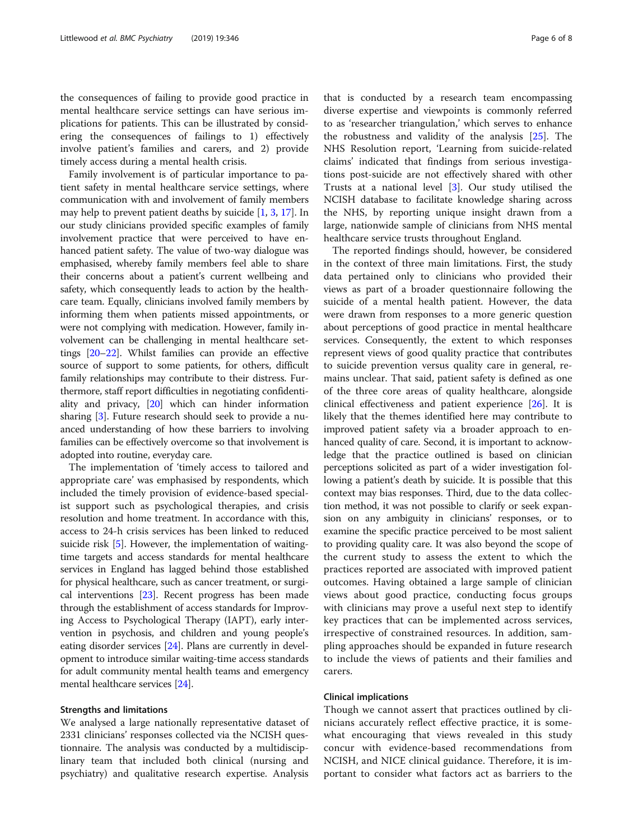the consequences of failing to provide good practice in mental healthcare service settings can have serious implications for patients. This can be illustrated by considering the consequences of failings to 1) effectively involve patient's families and carers, and 2) provide timely access during a mental health crisis.

Family involvement is of particular importance to patient safety in mental healthcare service settings, where communication with and involvement of family members may help to prevent patient deaths by suicide [\[1,](#page-7-0) [3](#page-7-0), [17\]](#page-7-0). In our study clinicians provided specific examples of family involvement practice that were perceived to have enhanced patient safety. The value of two-way dialogue was emphasised, whereby family members feel able to share their concerns about a patient's current wellbeing and safety, which consequently leads to action by the healthcare team. Equally, clinicians involved family members by informing them when patients missed appointments, or were not complying with medication. However, family involvement can be challenging in mental healthcare settings [\[20](#page-7-0)–[22](#page-7-0)]. Whilst families can provide an effective source of support to some patients, for others, difficult family relationships may contribute to their distress. Furthermore, staff report difficulties in negotiating confidentiality and privacy, [[20](#page-7-0)] which can hinder information sharing [\[3](#page-7-0)]. Future research should seek to provide a nuanced understanding of how these barriers to involving families can be effectively overcome so that involvement is adopted into routine, everyday care.

The implementation of 'timely access to tailored and appropriate care' was emphasised by respondents, which included the timely provision of evidence-based specialist support such as psychological therapies, and crisis resolution and home treatment. In accordance with this, access to 24-h crisis services has been linked to reduced suicide risk [[5\]](#page-7-0). However, the implementation of waitingtime targets and access standards for mental healthcare services in England has lagged behind those established for physical healthcare, such as cancer treatment, or surgical interventions [\[23\]](#page-7-0). Recent progress has been made through the establishment of access standards for Improving Access to Psychological Therapy (IAPT), early intervention in psychosis, and children and young people's eating disorder services [[24](#page-7-0)]. Plans are currently in development to introduce similar waiting-time access standards for adult community mental health teams and emergency mental healthcare services [\[24\]](#page-7-0).

### Strengths and limitations

We analysed a large nationally representative dataset of 2331 clinicians' responses collected via the NCISH questionnaire. The analysis was conducted by a multidisciplinary team that included both clinical (nursing and psychiatry) and qualitative research expertise. Analysis

that is conducted by a research team encompassing diverse expertise and viewpoints is commonly referred to as 'researcher triangulation,' which serves to enhance the robustness and validity of the analysis [\[25](#page-7-0)]. The NHS Resolution report, 'Learning from suicide-related claims' indicated that findings from serious investigations post-suicide are not effectively shared with other Trusts at a national level [\[3](#page-7-0)]. Our study utilised the NCISH database to facilitate knowledge sharing across the NHS, by reporting unique insight drawn from a large, nationwide sample of clinicians from NHS mental healthcare service trusts throughout England.

The reported findings should, however, be considered in the context of three main limitations. First, the study data pertained only to clinicians who provided their views as part of a broader questionnaire following the suicide of a mental health patient. However, the data were drawn from responses to a more generic question about perceptions of good practice in mental healthcare services. Consequently, the extent to which responses represent views of good quality practice that contributes to suicide prevention versus quality care in general, remains unclear. That said, patient safety is defined as one of the three core areas of quality healthcare, alongside clinical effectiveness and patient experience [\[26](#page-7-0)]. It is likely that the themes identified here may contribute to improved patient safety via a broader approach to enhanced quality of care. Second, it is important to acknowledge that the practice outlined is based on clinician perceptions solicited as part of a wider investigation following a patient's death by suicide. It is possible that this context may bias responses. Third, due to the data collection method, it was not possible to clarify or seek expansion on any ambiguity in clinicians' responses, or to examine the specific practice perceived to be most salient to providing quality care. It was also beyond the scope of the current study to assess the extent to which the practices reported are associated with improved patient outcomes. Having obtained a large sample of clinician views about good practice, conducting focus groups with clinicians may prove a useful next step to identify key practices that can be implemented across services, irrespective of constrained resources. In addition, sampling approaches should be expanded in future research to include the views of patients and their families and carers.

# Clinical implications

Though we cannot assert that practices outlined by clinicians accurately reflect effective practice, it is somewhat encouraging that views revealed in this study concur with evidence-based recommendations from NCISH, and NICE clinical guidance. Therefore, it is important to consider what factors act as barriers to the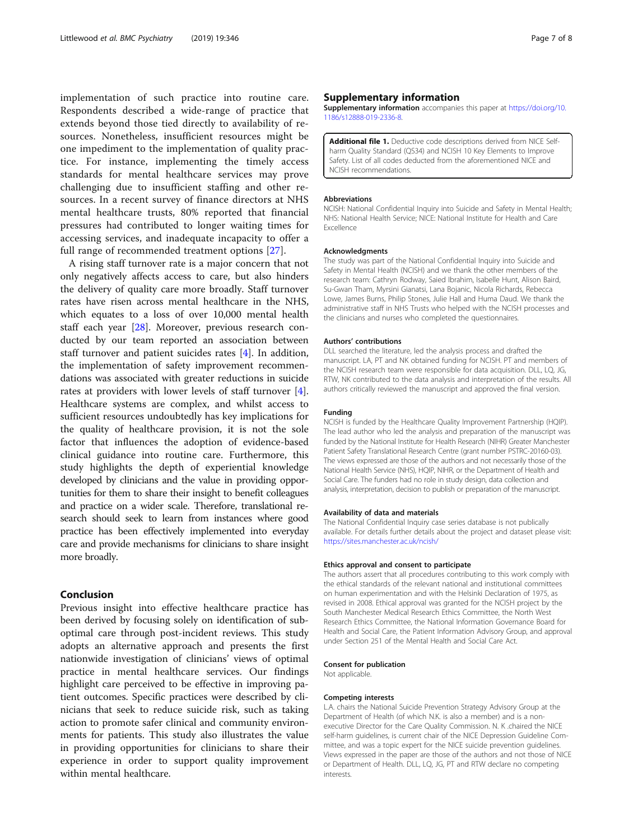<span id="page-6-0"></span>implementation of such practice into routine care. Respondents described a wide-range of practice that extends beyond those tied directly to availability of resources. Nonetheless, insufficient resources might be one impediment to the implementation of quality practice. For instance, implementing the timely access standards for mental healthcare services may prove challenging due to insufficient staffing and other resources. In a recent survey of finance directors at NHS mental healthcare trusts, 80% reported that financial pressures had contributed to longer waiting times for accessing services, and inadequate incapacity to offer a full range of recommended treatment options [[27\]](#page-7-0).

A rising staff turnover rate is a major concern that not only negatively affects access to care, but also hinders the delivery of quality care more broadly. Staff turnover rates have risen across mental healthcare in the NHS, which equates to a loss of over 10,000 mental health staff each year [[28\]](#page-7-0). Moreover, previous research conducted by our team reported an association between staff turnover and patient suicides rates [[4\]](#page-7-0). In addition, the implementation of safety improvement recommendations was associated with greater reductions in suicide rates at providers with lower levels of staff turnover [\[4](#page-7-0)]. Healthcare systems are complex, and whilst access to sufficient resources undoubtedly has key implications for the quality of healthcare provision, it is not the sole factor that influences the adoption of evidence-based clinical guidance into routine care. Furthermore, this study highlights the depth of experiential knowledge developed by clinicians and the value in providing opportunities for them to share their insight to benefit colleagues and practice on a wider scale. Therefore, translational research should seek to learn from instances where good practice has been effectively implemented into everyday care and provide mechanisms for clinicians to share insight more broadly.

# Conclusion

Previous insight into effective healthcare practice has been derived by focusing solely on identification of suboptimal care through post-incident reviews. This study adopts an alternative approach and presents the first nationwide investigation of clinicians' views of optimal practice in mental healthcare services. Our findings highlight care perceived to be effective in improving patient outcomes. Specific practices were described by clinicians that seek to reduce suicide risk, such as taking action to promote safer clinical and community environments for patients. This study also illustrates the value in providing opportunities for clinicians to share their experience in order to support quality improvement within mental healthcare.

# Supplementary information

Supplementary information accompanies this paper at [https://doi.org/10.](https://doi.org/10.1186/s12888-019-2336-8) [1186/s12888-019-2336-8.](https://doi.org/10.1186/s12888-019-2336-8)

**Additional file 1.** Deductive code descriptions derived from NICE Selfharm Quality Standard (QS34) and NCISH 10 Key Elements to Improve Safety. List of all codes deducted from the aforementioned NICE and NCISH recommendations.

#### Abbreviations

NCISH: National Confidential Inquiry into Suicide and Safety in Mental Health; NHS: National Health Service; NICE: National Institute for Health and Care Excellence

#### Acknowledgments

The study was part of the National Confidential Inquiry into Suicide and Safety in Mental Health (NCISH) and we thank the other members of the research team: Cathryn Rodway, Saied Ibrahim, Isabelle Hunt, Alison Baird, Su-Gwan Tham, Myrsini Gianatsi, Lana Bojanic, Nicola Richards, Rebecca Lowe, James Burns, Philip Stones, Julie Hall and Huma Daud. We thank the administrative staff in NHS Trusts who helped with the NCISH processes and the clinicians and nurses who completed the questionnaires.

#### Authors' contributions

DLL searched the literature, led the analysis process and drafted the manuscript. LA, PT and NK obtained funding for NCISH. PT and members of the NCISH research team were responsible for data acquisition. DLL, LQ, JG, RTW, NK contributed to the data analysis and interpretation of the results. All authors critically reviewed the manuscript and approved the final version.

#### Funding

NCISH is funded by the Healthcare Quality Improvement Partnership (HQIP). The lead author who led the analysis and preparation of the manuscript was funded by the National Institute for Health Research (NIHR) Greater Manchester Patient Safety Translational Research Centre (grant number PSTRC-20160-03). The views expressed are those of the authors and not necessarily those of the National Health Service (NHS), HQIP, NIHR, or the Department of Health and Social Care. The funders had no role in study design, data collection and analysis, interpretation, decision to publish or preparation of the manuscript.

#### Availability of data and materials

The National Confidential Inquiry case series database is not publically available. For details further details about the project and dataset please visit: <https://sites.manchester.ac.uk/ncish/>

#### Ethics approval and consent to participate

The authors assert that all procedures contributing to this work comply with the ethical standards of the relevant national and institutional committees on human experimentation and with the Helsinki Declaration of 1975, as revised in 2008. Ethical approval was granted for the NCISH project by the South Manchester Medical Research Ethics Committee, the North West Research Ethics Committee, the National Information Governance Board for Health and Social Care, the Patient Information Advisory Group, and approval under Section 251 of the Mental Health and Social Care Act.

#### Consent for publication

Not applicable.

#### Competing interests

L.A. chairs the National Suicide Prevention Strategy Advisory Group at the Department of Health (of which N.K. is also a member) and is a nonexecutive Director for the Care Quality Commission. N. K .chaired the NICE self-harm guidelines, is current chair of the NICE Depression Guideline Committee, and was a topic expert for the NICE suicide prevention guidelines. Views expressed in the paper are those of the authors and not those of NICE or Department of Health. DLL, LQ, JG, PT and RTW declare no competing interests.